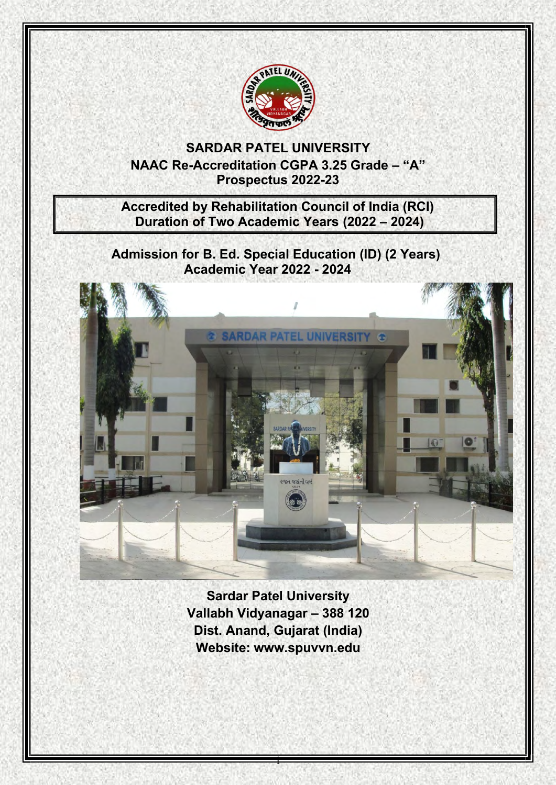

**SARDAR PATEL UNIVERSITY NAAC Re-Accreditation CGPA 3.25 Grade – "A" Prospectus 2022-23**

**Accredited by Rehabilitation Council of India (RCI) Duration of Two Academic Years (2022 – 2024)**

**Admission for B. Ed. Special Education (ID) (2 Years) Academic Year 2022 - 2024**



**Sardar Patel University Vallabh Vidyanagar – 388 120 Dist. Anand, Gujarat (India) Website: [www.spuvvn.edu](http://www.spuvvn.edu/)**

1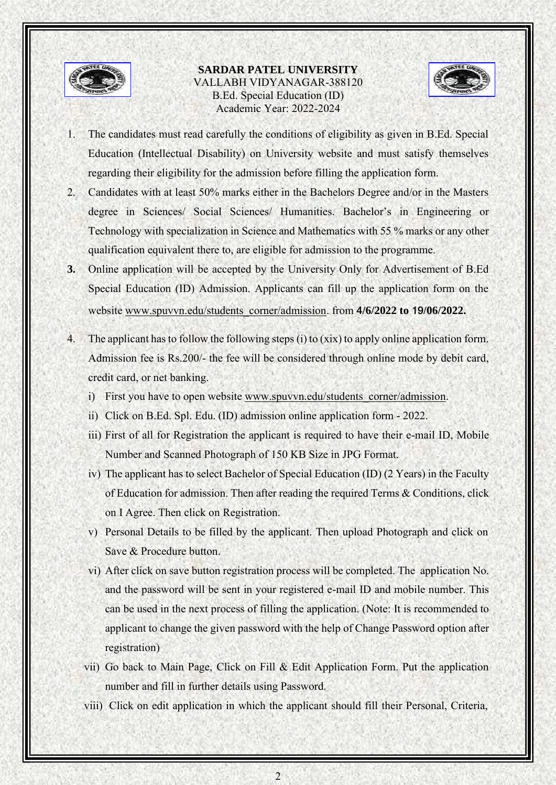

## **SARDAR PATEL UNIVERSITY** VALLABH VIDYANAGAR-388120 B.Ed. Special Education (ID) Academic Year: 2022-2024



- 1. The candidates must read carefully the conditions of eligibility as given in B.Ed. Special Education (Intellectual Disability) on University website and must satisfy themselves regarding their eligibility for the admission before filling the application form.
- 2. Candidates with at least 50% marks either in the Bachelors Degree and/or in the Masters degree in Sciences/ Social Sciences/ Humanities. Bachelor's in Engineering or Technology with specialization in Science and Mathematics with 55 % marks or any other qualification equivalent there to, are eligible for admission to the programme.
- **3.** Online application will be accepted by the University Only for Advertisement of B.Ed Special Education (ID) Admission. Applicants can fill up the application form on the website [www.spuvvn.edu/students\\_corner/admission.](http://www.spuvvn.edu/students_corner/admission) from **4/6/2022 to 19/06/2022.**
- 4. The applicant has to follow the following steps (i) to (xix) to apply online application form. Admission fee is Rs.200/- the fee will be considered through online mode by debit card, credit card, or net banking.
	- i) First you have to open website [www.spuvvn.edu/students\\_corner/admission.](http://www.spuvvn.edu/students_corner/admission)
	- ii) Click on B.Ed. Spl. Edu. (ID) admission online application form 2022.
	- iii) First of all for Registration the applicant is required to have their e-mail ID, Mobile Number and Scanned Photograph of 150 KB Size in JPG Format.
	- iv) The applicant has to select Bachelor of Special Education (ID) (2 Years) in the Faculty of Education for admission. Then after reading the required Terms & Conditions, click on I Agree. Then click on Registration.
	- v) Personal Details to be filled by the applicant. Then upload Photograph and click on Save & Procedure button.
	- vi) After click on save button registration process will be completed. The application No. and the password will be sent in your registered e-mail ID and mobile number. This can be used in the next process of filling the application. (Note: It is recommended to applicant to change the given password with the help of Change Password option after registration)
	- vii) Go back to Main Page, Click on Fill & Edit Application Form. Put the application number and fill in further details using Password.
	- viii) Click on edit application in which the applicant should fill their Personal, Criteria,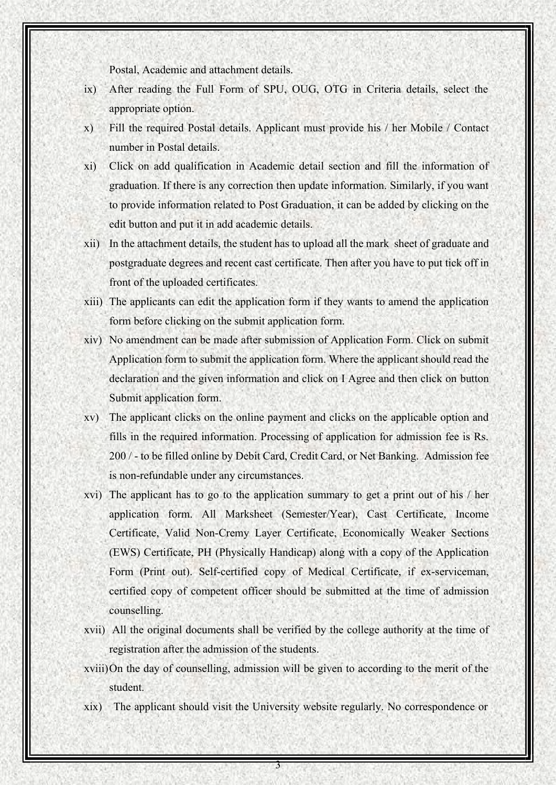Postal, Academic and attachment details.

- ix) After reading the Full Form of SPU, OUG, OTG in Criteria details, select the appropriate option.
- x) Fill the required Postal details. Applicant must provide his / her Mobile / Contact number in Postal details.
- xi) Click on add qualification in Academic detail section and fill the information of graduation. If there is any correction then update information. Similarly, if you want to provide information related to Post Graduation, it can be added by clicking on the edit button and put it in add academic details.
- xii) In the attachment details, the student has to upload all the mark sheet of graduate and postgraduate degrees and recent cast certificate. Then after you have to put tick off in front of the uploaded certificates.
- xiii) The applicants can edit the application form if they wants to amend the application form before clicking on the submit application form.
- xiv) No amendment can be made after submission of Application Form. Click on submit Application form to submit the application form. Where the applicant should read the declaration and the given information and click on I Agree and then click on button Submit application form.
- xv) The applicant clicks on the online payment and clicks on the applicable option and fills in the required information. Processing of application for admission fee is Rs. 200 / - to be filled online by Debit Card, Credit Card, or Net Banking. Admission fee is non-refundable under any circumstances.
- xvi) The applicant has to go to the application summary to get a print out of his / her application form. All Marksheet (Semester/Year), Cast Certificate, Income Certificate, Valid Non-Cremy Layer Certificate, Economically Weaker Sections (EWS) Certificate, PH (Physically Handicap) along with a copy of the Application Form (Print out). Self-certified copy of Medical Certificate, if ex-serviceman, certified copy of competent officer should be submitted at the time of admission counselling.
- xvii) All the original documents shall be verified by the college authority at the time of registration after the admission of the students.
- xviii)On the day of counselling, admission will be given to according to the merit of the student.
- xix) The applicant should visit the University website regularly. No correspondence or

3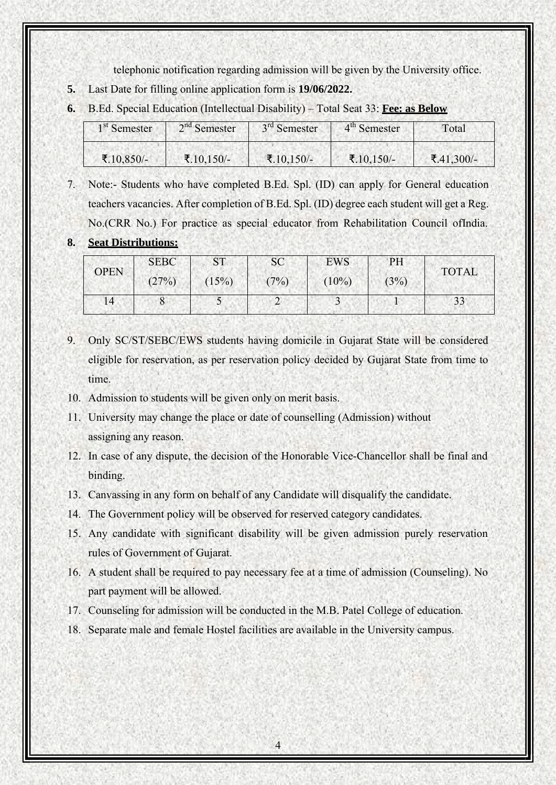telephonic notification regarding admission will be given by the University office.

- **5.** Last Date for filling online application form is **19/06/2022.**
- **6.** B.Ed. Special Education (Intellectual Disability) Total Seat 33: **Fee: as Below**

| 1 <sup>st</sup> Semester | $2nd$ Semester | 3 <sup>rd</sup> Semester | 4 <sup>th</sup> Semester | Total      |  |
|--------------------------|----------------|--------------------------|--------------------------|------------|--|
| ₹.10,850/-               | ₹.10,150/-     | ₹.10,150/-               | ₹.10,150/-               | ₹.41,300/- |  |

- 7. Note:- Students who have completed B.Ed. Spl. (ID) can apply for General education teachers vacancies. After completion of B.Ed. Spl. (ID) degree each student will get a Reg.
- No.(CRR No.) For practice as special educator from Rehabilitation Council ofIndia.

## **8. Seat Distributions:**

| <b>OPEN</b> | <b>SEBC</b> | $\operatorname{ST}$ | <b>SC</b> | <b>EWS</b> | PH   | <b>TOTAL</b> |  |
|-------------|-------------|---------------------|-----------|------------|------|--------------|--|
|             | (27%)       | (15%)               | (7%)      | $(10\%)$   | (3%) |              |  |
| 14          | 8           | ◡                   |           |            |      | 33           |  |

- 9. Only SC/ST/SEBC/EWS students having domicile in Gujarat State will be considered eligible for reservation, as per reservation policy decided by Gujarat State from time to time.
- 10. Admission to students will be given only on merit basis.
- 11. University may change the place or date of counselling (Admission) without assigning any reason.
- 12. In case of any dispute, the decision of the Honorable Vice-Chancellor shall be final and binding.
- 13. Canvassing in any form on behalf of any Candidate will disqualify the candidate.
- 14. The Government policy will be observed for reserved category candidates.
- 15. Any candidate with significant disability will be given admission purely reservation rules of Government of Gujarat.
- 16. A student shall be required to pay necessary fee at a time of admission (Counseling). No part payment will be allowed.
- 17. Counseling for admission will be conducted in the M.B. Patel College of education.
- 18. Separate male and female Hostel facilities are available in the University campus.